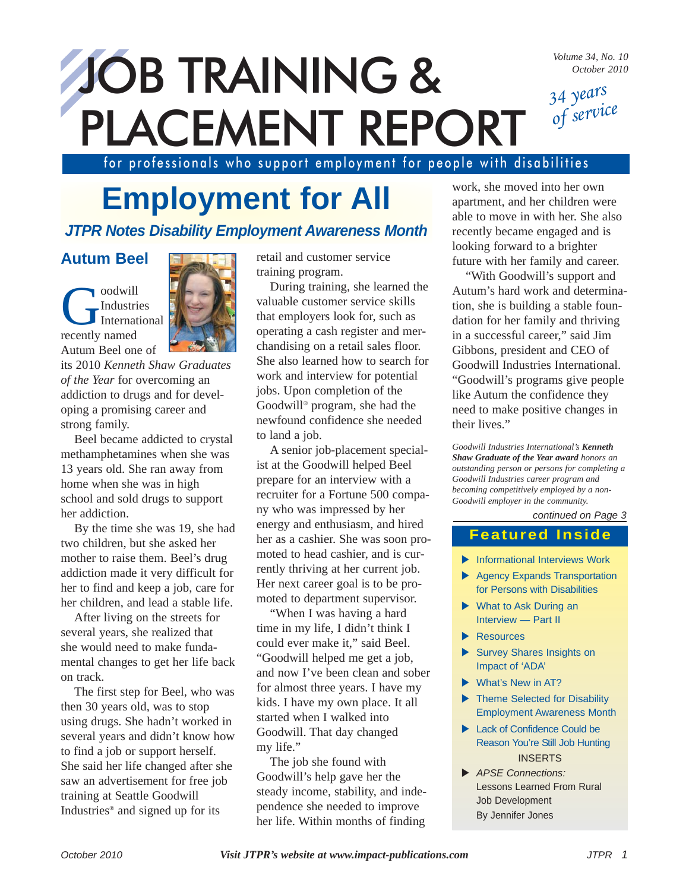*Volume 34, No. 10 October 2010*

*34 years of service*

# JOB TRAINING & PLACEMENT REPORT

for professionals who support employment for people with disabilities

### **Employment for All**

### *JTPR Notes Disability Employment Awareness Month*

### **Autum Beel**

Coodwill Industries International recently named Autum Beel one of



its 2010 *Kenneth Shaw Graduates of the Year* for overcoming an addiction to drugs and for developing a promising career and strong family.

Beel became addicted to crystal methamphetamines when she was 13 years old. She ran away from home when she was in high school and sold drugs to support her addiction.

By the time she was 19, she had two children, but she asked her mother to raise them. Beel's drug addiction made it very difficult for her to find and keep a job, care for her children, and lead a stable life.

After living on the streets for several years, she realized that she would need to make fundamental changes to get her life back on track.

The first step for Beel, who was then 30 years old, was to stop using drugs. She hadn't worked in several years and didn't know how to find a job or support herself. She said her life changed after she saw an advertisement for free job training at Seattle Goodwill Industries® and signed up for its

retail and customer service training program.

During training, she learned the valuable customer service skills that employers look for, such as operating a cash register and merchandising on a retail sales floor. She also learned how to search for work and interview for potential jobs. Upon completion of the Goodwill® program, she had the newfound confidence she needed to land a job.

A senior job-placement specialist at the Goodwill helped Beel prepare for an interview with a recruiter for a Fortune 500 company who was impressed by her energy and enthusiasm, and hired her as a cashier. She was soon promoted to head cashier, and is currently thriving at her current job. Her next career goal is to be promoted to department supervisor.

"When I was having a hard time in my life, I didn't think I could ever make it," said Beel. "Goodwill helped me get a job, and now I've been clean and sober for almost three years. I have my kids. I have my own place. It all started when I walked into Goodwill. That day changed my life."

The job she found with Goodwill's help gave her the steady income, stability, and independence she needed to improve her life. Within months of finding

work, she moved into her own apartment, and her children were able to move in with her. She also recently became engaged and is looking forward to a brighter future with her family and career.

"With Goodwill's support and Autum's hard work and determination, she is building a stable foundation for her family and thriving in a successful career," said Jim Gibbons, president and CEO of Goodwill Industries International. "Goodwill's programs give people like Autum the confidence they need to make positive changes in their lives."

*Goodwill Industries International's Kenneth Shaw Graduate of the Year award honors an outstanding person or persons for completing a Goodwill Industries career program and becoming competitively employed by a non-Goodwill employer in the community.*

#### *continued on Page 3*

### **Featured Inside**

- $\blacktriangleright$  Informational Interviews Work
- $\blacktriangleright$  Agency Expands Transportation for Persons with Disabilities
- $\blacktriangleright$  What to Ask During an Interview — Part II
- $\blacktriangleright$  Resources
- $\blacktriangleright$  Survey Shares Insights on Impact of 'ADA'
- $\blacktriangleright$  What's New in AT?
- $\blacktriangleright$  Theme Selected for Disability Employment Awareness Month
- Eack of Confidence Could be Reason You're Still Job Hunting INSERTS
- X *APSE Connections:* Lessons Learned From Rural Job Development By Jennifer Jones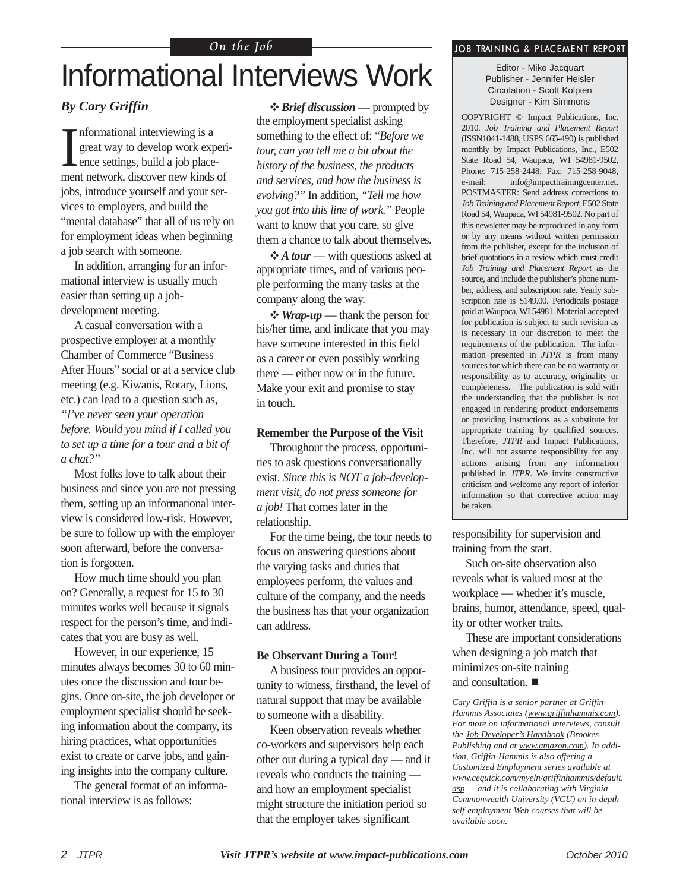#### On the Job **John Straining & PLACEMENT REPORT**

### Informational Interviews Work

#### *By Cary Griffin*

I nformational interviewing is a great way to develop work experience settings, build a job placement network, discover new kinds of jobs, introduce yourself and your services to employers, and build the "mental database" that all of us rely on for employment ideas when beginning a job search with someone.

In addition, arranging for an informational interview is usually much easier than setting up a jobdevelopment meeting.

A casual conversation with a prospective employer at a monthly Chamber of Commerce "Business After Hours" social or at a service club meeting (e.g. Kiwanis, Rotary, Lions, etc.) can lead to a question such as, *"I've never seen your operation before. Would you mind if I called you to set up a time for a tour and a bit of a chat?"*

Most folks love to talk about their business and since you are not pressing them, setting up an informational interview is considered low-risk. However, be sure to follow up with the employer soon afterward, before the conversation is forgotten.

How much time should you plan on? Generally, a request for 15 to 30 minutes works well because it signals respect for the person's time, and indicates that you are busy as well.

However, in our experience, 15 minutes always becomes 30 to 60 minutes once the discussion and tour begins. Once on-site, the job developer or employment specialist should be seeking information about the company, its hiring practices, what opportunities exist to create or carve jobs, and gaining insights into the company culture.

The general format of an informational interview is as follows:

 *Brief discussion* — prompted by the employment specialist asking something to the effect of: "*Before we tour, can you tell me a bit about the history of the business, the products and services, and how the business is evolving?"* In addition, *"Tell me how you got into this line of work."* People want to know that you care, so give them a chance to talk about themselves.

*A tour* — with questions asked at appropriate times, and of various people performing the many tasks at the company along the way.

 *Wrap-up* — thank the person for his/her time, and indicate that you may have someone interested in this field as a career or even possibly working there — either now or in the future. Make your exit and promise to stay in touch.

#### **Remember the Purpose of the Visit**

Throughout the process, opportunities to ask questions conversationally exist. *Since this is NOT a job-development visit, do not press someone for a job!* That comes later in the relationship.

For the time being, the tour needs to focus on answering questions about the varying tasks and duties that employees perform, the values and culture of the company, and the needs the business has that your organization can address.

#### **Be Observant During a Tour!**

A business tour provides an opportunity to witness, firsthand, the level of natural support that may be available to someone with a disability.

Keen observation reveals whether co-workers and supervisors help each other out during a typical day — and it reveals who conducts the training and how an employment specialist might structure the initiation period so that the employer takes significant

Editor - Mike Jacquart Publisher - Jennifer Heisler Circulation - Scott Kolpien Designer - Kim Simmons

COPYRIGHT © Impact Publications, Inc. 2010. *Job Training and Placement Report* (ISSN1041-1488, USPS 665-490) is published monthly by Impact Publications, Inc., E502 State Road 54, Waupaca, WI 54981-9502, Phone: 715-258-2448, Fax: 715-258-9048, e-mail: info@impacttrainingcenter.net. POSTMASTER: Send address corrections to *Job Training and Placement Report*, E502 State Road 54, Waupaca, WI 54981-9502. No part of this newsletter may be reproduced in any form or by any means without written permission from the publisher, except for the inclusion of brief quotations in a review which must credit *Job Training and Placement Report* as the source, and include the publisher's phone number, address, and subscription rate. Yearly subscription rate is \$149.00. Periodicals postage paid at Waupaca, WI 54981. Material accepted for publication is subject to such revision as is necessary in our discretion to meet the requirements of the publication. The information presented in *JTPR* is from many sources for which there can be no warranty or responsibility as to accuracy, originality or completeness. The publication is sold with the understanding that the publisher is not engaged in rendering product endorsements or providing instructions as a substitute for appropriate training by qualified sources. Therefore, *JTPR* and Impact Publications, Inc. will not assume responsibility for any actions arising from any information published in *JTPR*. We invite constructive criticism and welcome any report of inferior information so that corrective action may be taken.

responsibility for supervision and training from the start.

Such on-site observation also reveals what is valued most at the workplace — whether it's muscle, brains, humor, attendance, speed, quality or other worker traits.

These are important considerations when designing a job match that minimizes on-site training and consultation.

*Cary Griffin is a senior partner at Griffin-Hammis Associates (www.griffinhammis.com). For more on informational interviews, consult the Job Developer's Handbook (Brookes Publishing and at www.amazon.com). In addition, Griffin-Hammis is also offering a Customized Employment series available at www.cequick.com/myeln/griffinhammis/default. asp — and it is collaborating with Virginia Commonwealth University (VCU) on in-depth self-employment Web courses that will be available soon.*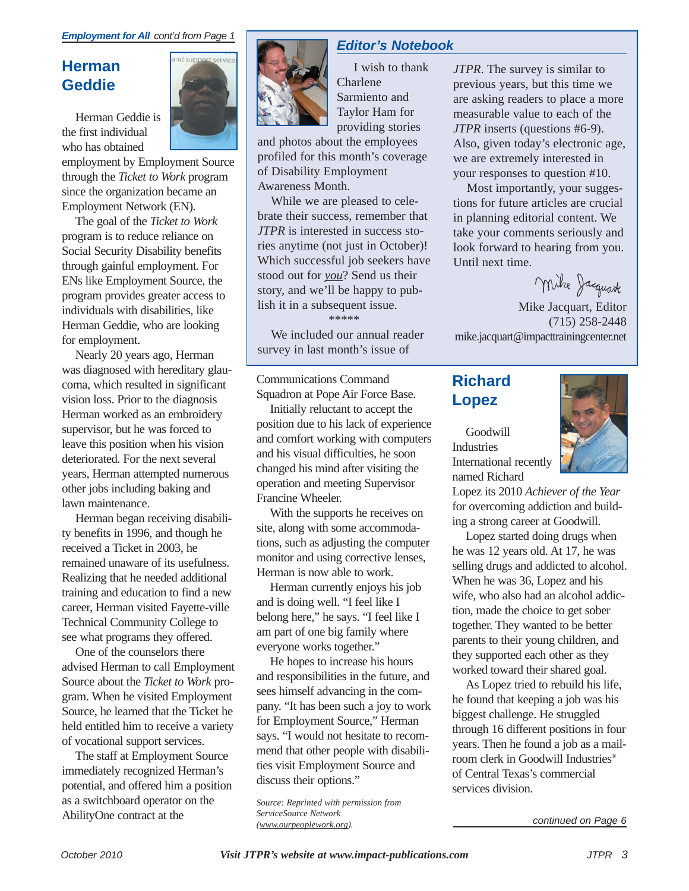### **Herman Geddie**

Herman Geddie is the first individual who has obtained



employment by Employment Source through the *Ticket to Work* program since the organization became an Employment Network (EN).

The goal of the *Ticket to Work* program is to reduce reliance on Social Security Disability benefits through gainful employment. For ENs like Employment Source, the program provides greater access to individuals with disabilities, like Herman Geddie, who are looking for employment.

Nearly 20 years ago, Herman was diagnosed with hereditary glaucoma, which resulted in significant vision loss. Prior to the diagnosis Herman worked as an embroidery supervisor, but he was forced to leave this position when his vision deteriorated. For the next several years, Herman attempted numerous other jobs including baking and lawn maintenance.

Herman began receiving disability benefits in 1996, and though he received a Ticket in 2003, he remained unaware of its usefulness. Realizing that he needed additional training and education to find a new career, Herman visited Fayette-ville Technical Community College to see what programs they offered.

One of the counselors there advised Herman to call Employment Source about the *Ticket to Work* program. When he visited Employment Source, he learned that the Ticket he held entitled him to receive a variety of vocational support services.

The staff at Employment Source immediately recognized Herman's potential, and offered him a position as a switchboard operator on the AbilityOne contract at the

### *Editor's Notebook*

I wish to thank Charlene Sarmiento and Taylor Ham for providing stories

and photos about the employees profiled for this month's coverage of Disability Employment Awareness Month.

While we are pleased to celebrate their success, remember that *JTPR* is interested in success stories anytime (not just in October)! Which successful job seekers have stood out for *you*? Send us their story, and we'll be happy to publish it in a subsequent issue.

\*\*\*\*\*

We included our annual reader survey in last month's issue of

Communications Command Squadron at Pope Air Force Base.

Initially reluctant to accept the position due to his lack of experience and comfort working with computers and his visual difficulties, he soon changed his mind after visiting the operation and meeting Supervisor Francine Wheeler.

With the supports he receives on site, along with some accommodations, such as adjusting the computer monitor and using corrective lenses, Herman is now able to work.

Herman currently enjoys his job and is doing well. "I feel like I belong here," he says. "I feel like I am part of one big family where everyone works together."

He hopes to increase his hours and responsibilities in the future, and sees himself advancing in the company. "It has been such a joy to work for Employment Source," Herman says. "I would not hesitate to recommend that other people with disabilities visit Employment Source and discuss their options."

*Source: Reprinted with permission from ServiceSource Network (www.ourpeoplework.org).*

*JTPR*. The survey is similar to previous years, but this time we are asking readers to place a more measurable value to each of the *JTPR* inserts (questions #6-9). Also, given today's electronic age, we are extremely interested in your responses to question #10.

Most importantly, your suggestions for future articles are crucial in planning editorial content. We take your comments seriously and look forward to hearing from you. Until next time.

Mike Jacquart

Mike Jacquart, Editor (715) 258-2448 mike.jacquart@impacttrainingcenter.net

### **Richard Lopez**

Goodwill Industries International recently named Richard



Lopez its 2010 *Achiever of the Year* for overcoming addiction and building a strong career at Goodwill.

Lopez started doing drugs when he was 12 years old. At 17, he was selling drugs and addicted to alcohol. When he was 36, Lopez and his wife, who also had an alcohol addiction, made the choice to get sober together. They wanted to be better parents to their young children, and they supported each other as they worked toward their shared goal.

As Lopez tried to rebuild his life, he found that keeping a job was his biggest challenge. He struggled through 16 different positions in four years. Then he found a job as a mailroom clerk in Goodwill Industries® of Central Texas's commercial services division.

*continued on Page 6*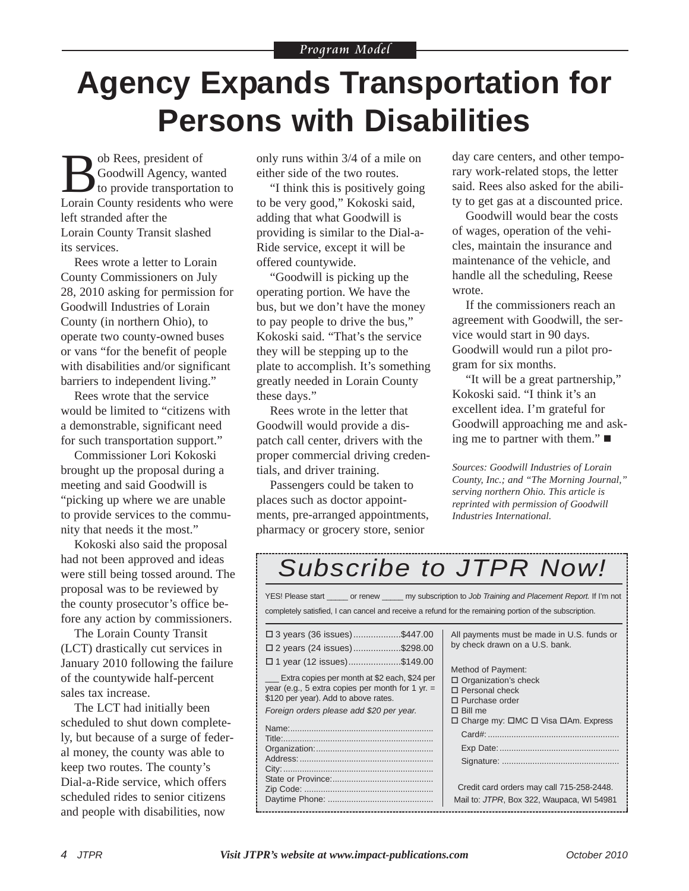### **Agency Expands Transportation for Persons with Disabilities**

Bob Rees, president of<br>to provide transportant and the provide transportant in Country residents when Goodwill Agency, wanted to provide transportation to Lorain County residents who were left stranded after the Lorain County Transit slashed its services.

Rees wrote a letter to Lorain County Commissioners on July 28, 2010 asking for permission for Goodwill Industries of Lorain County (in northern Ohio), to operate two county-owned buses or vans "for the benefit of people with disabilities and/or significant barriers to independent living."

Rees wrote that the service would be limited to "citizens with a demonstrable, significant need for such transportation support."

Commissioner Lori Kokoski brought up the proposal during a meeting and said Goodwill is "picking up where we are unable to provide services to the community that needs it the most."

Kokoski also said the proposal had not been approved and ideas were still being tossed around. The proposal was to be reviewed by the county prosecutor's office before any action by commissioners.

The Lorain County Transit (LCT) drastically cut services in January 2010 following the failure of the countywide half-percent sales tax increase.

The LCT had initially been scheduled to shut down completely, but because of a surge of federal money, the county was able to keep two routes. The county's Dial-a-Ride service, which offers scheduled rides to senior citizens and people with disabilities, now

only runs within 3/4 of a mile on either side of the two routes.

"I think this is positively going to be very good," Kokoski said, adding that what Goodwill is providing is similar to the Dial-a-Ride service, except it will be offered countywide.

"Goodwill is picking up the operating portion. We have the bus, but we don't have the money to pay people to drive the bus," Kokoski said. "That's the service they will be stepping up to the plate to accomplish. It's something greatly needed in Lorain County these days."

Rees wrote in the letter that Goodwill would provide a dispatch call center, drivers with the proper commercial driving credentials, and driver training.

Passengers could be taken to places such as doctor appointments, pre-arranged appointments, pharmacy or grocery store, senior

day care centers, and other temporary work-related stops, the letter said. Rees also asked for the ability to get gas at a discounted price.

Goodwill would bear the costs of wages, operation of the vehicles, maintain the insurance and maintenance of the vehicle, and handle all the scheduling, Reese wrote.

If the commissioners reach an agreement with Goodwill, the service would start in 90 days. Goodwill would run a pilot program for six months.

"It will be a great partnership," Kokoski said. "I think it's an excellent idea. I'm grateful for Goodwill approaching me and asking me to partner with them."

*Sources: Goodwill Industries of Lorain County, Inc.; and "The Morning Journal," serving northern Ohio. This article is reprinted with permission of Goodwill Industries International.* 

### *Subscribe to JTPR Now!*

| YES! Please start _______ or renew _______ my subscription to Job Training and Placement Report. If I'm not<br>completely satisfied, I can cancel and receive a refund for the remaining portion of the subscription.                                                                                   |                                                                                                                                                                                                                                                                                                                                         |
|---------------------------------------------------------------------------------------------------------------------------------------------------------------------------------------------------------------------------------------------------------------------------------------------------------|-----------------------------------------------------------------------------------------------------------------------------------------------------------------------------------------------------------------------------------------------------------------------------------------------------------------------------------------|
| $\Box$ 3 years (36 issues)\$447.00<br>$\Box$ 2 years (24 issues)\$298.00<br>$\Box$ 1 year (12 issues)\$149.00<br>Extra copies per month at \$2 each, \$24 per<br>year (e.g., 5 extra copies per month for 1 yr. $=$<br>\$120 per year). Add to above rates.<br>Foreign orders please add \$20 per year. | All payments must be made in U.S. funds or<br>by check drawn on a U.S. bank.<br>Method of Payment:<br>$\Box$ Organization's check<br>$\Box$ Personal check<br>$\Box$ Purchase order<br>$\Box$ Bill me<br>□ Charge my: □MC □ Visa □Am. Express<br>Credit card orders may call 715-258-2448.<br>Mail to: JTPR, Box 322, Waupaca, WI 54981 |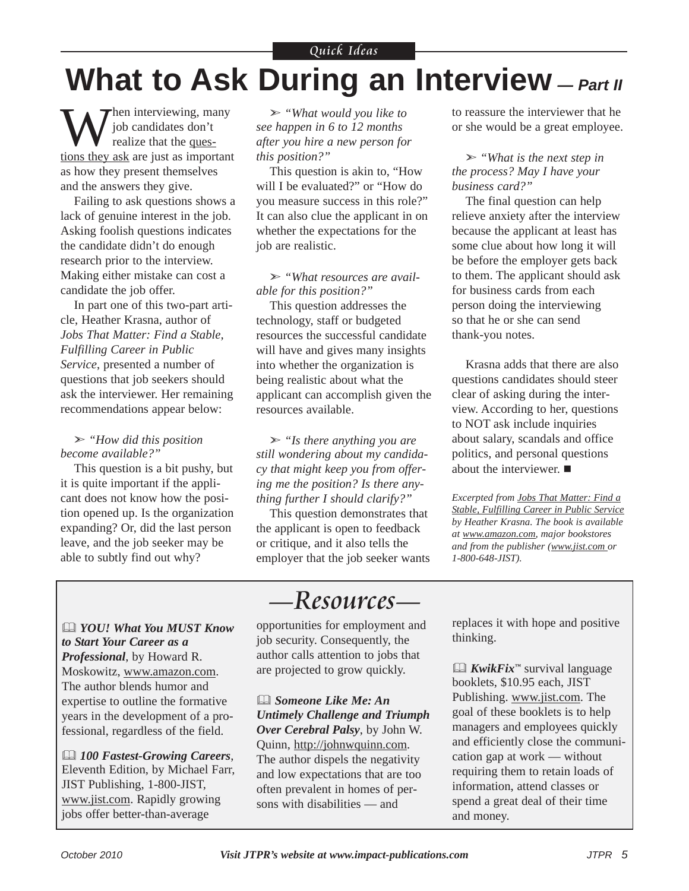### **What to Ask During an Interview** *— Part II*

When interviewing, many<br>
yiob candidates don't<br>
realize that the quesjob candidates don't tions they ask are just as important as how they present themselves and the answers they give.

Failing to ask questions shows a lack of genuine interest in the job. Asking foolish questions indicates the candidate didn't do enough research prior to the interview. Making either mistake can cost a candidate the job offer.

In part one of this two-part article, Heather Krasna, author of *Jobs That Matter: Find a Stable, Fulfilling Career in Public Service*, presented a number of questions that job seekers should ask the interviewer. Her remaining recommendations appear below:

#### *"How did this position become available?"*

This question is a bit pushy, but it is quite important if the applicant does not know how the position opened up. Is the organization expanding? Or, did the last person leave, and the job seeker may be able to subtly find out why?

 *"What would you like to see happen in 6 to 12 months after you hire a new person for this position?"*

This question is akin to, "How will I be evaluated?" or "How do you measure success in this role?" It can also clue the applicant in on whether the expectations for the job are realistic.

 *"What resources are available for this position?"*

This question addresses the technology, staff or budgeted resources the successful candidate will have and gives many insights into whether the organization is being realistic about what the applicant can accomplish given the resources available.

 *"Is there anything you are still wondering about my candidacy that might keep you from offering me the position? Is there anything further I should clarify?"*

This question demonstrates that the applicant is open to feedback or critique, and it also tells the employer that the job seeker wants to reassure the interviewer that he or she would be a great employee.

 *"What is the next step in the process? May I have your business card?"*

The final question can help relieve anxiety after the interview because the applicant at least has some clue about how long it will be before the employer gets back to them. The applicant should ask for business cards from each person doing the interviewing so that he or she can send thank-you notes.

Krasna adds that there are also questions candidates should steer clear of asking during the interview. According to her, questions to NOT ask include inquiries about salary, scandals and office politics, and personal questions about the interviewer.

*Excerpted from Jobs That Matter: Find a Stable, Fulfilling Career in Public Service by Heather Krasna. The book is available at www.amazon.com, major bookstores and from the publisher (www.jist.com or 1-800-648-JIST).* 

 *YOU! What You MUST Know to Start Your Career as a Professional*, by Howard R. Moskowitz, www.amazon.com. The author blends humor and expertise to outline the formative years in the development of a professional, regardless of the field.

 *100 Fastest-Growing Careers*, Eleventh Edition, by Michael Farr, JIST Publishing, 1-800-JIST, www.jist.com. Rapidly growing jobs offer better-than-average

opportunities for employment and job security. Consequently, the author calls attention to jobs that are projected to grow quickly.

— Resources—

 *Someone Like Me: An Untimely Challenge and Triumph Over Cerebral Palsy*, by John W. Quinn, http://johnwquinn.com. The author dispels the negativity and low expectations that are too often prevalent in homes of persons with disabilities — and

replaces it with hope and positive thinking.

 *KwikFix™* survival language booklets, \$10.95 each, JIST Publishing. www.jist.com. The goal of these booklets is to help managers and employees quickly and efficiently close the communication gap at work — without requiring them to retain loads of information, attend classes or spend a great deal of their time and money.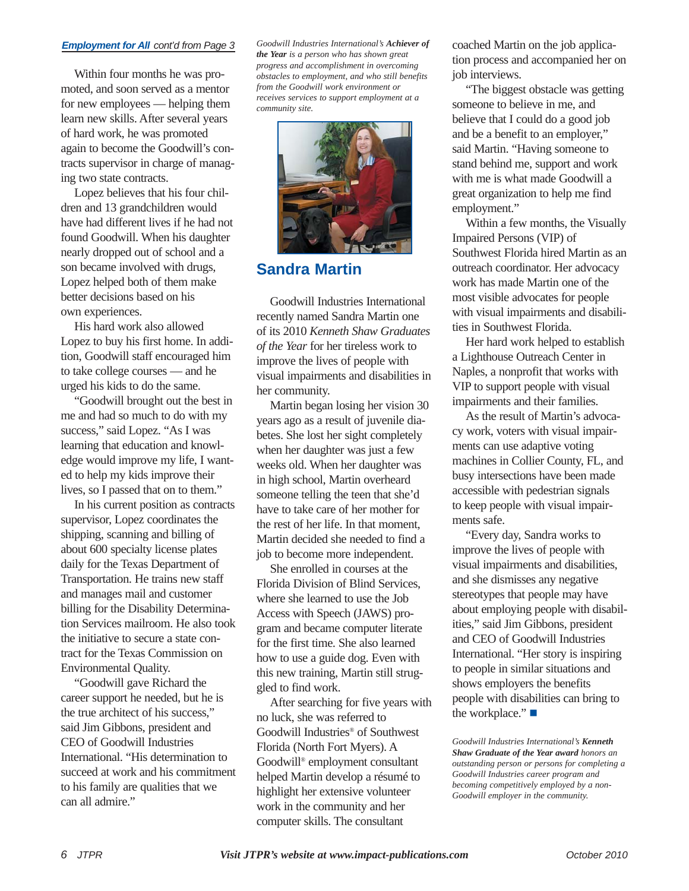#### *Employment for All cont'd from Page 3*

Within four months he was promoted, and soon served as a mentor for new employees — helping them learn new skills. After several years of hard work, he was promoted again to become the Goodwill's contracts supervisor in charge of managing two state contracts.

Lopez believes that his four children and 13 grandchildren would have had different lives if he had not found Goodwill. When his daughter nearly dropped out of school and a son became involved with drugs, Lopez helped both of them make better decisions based on his own experiences.

His hard work also allowed Lopez to buy his first home. In addition, Goodwill staff encouraged him to take college courses — and he urged his kids to do the same.

"Goodwill brought out the best in me and had so much to do with my success," said Lopez. "As I was learning that education and knowledge would improve my life, I wanted to help my kids improve their lives, so I passed that on to them."

In his current position as contracts supervisor, Lopez coordinates the shipping, scanning and billing of about 600 specialty license plates daily for the Texas Department of Transportation. He trains new staff and manages mail and customer billing for the Disability Determination Services mailroom. He also took the initiative to secure a state contract for the Texas Commission on Environmental Quality.

"Goodwill gave Richard the career support he needed, but he is the true architect of his success," said Jim Gibbons, president and CEO of Goodwill Industries International. "His determination to succeed at work and his commitment to his family are qualities that we can all admire."

*Goodwill Industries International's Achiever of the Year is a person who has shown great progress and accomplishment in overcoming obstacles to employment, and who still benefits from the Goodwill work environment or receives services to support employment at a community site.*



### **Sandra Martin**

Goodwill Industries International recently named Sandra Martin one of its 2010 *Kenneth Shaw Graduates of the Year* for her tireless work to improve the lives of people with visual impairments and disabilities in her community.

Martin began losing her vision 30 years ago as a result of juvenile diabetes. She lost her sight completely when her daughter was just a few weeks old. When her daughter was in high school, Martin overheard someone telling the teen that she'd have to take care of her mother for the rest of her life. In that moment, Martin decided she needed to find a job to become more independent.

She enrolled in courses at the Florida Division of Blind Services, where she learned to use the Job Access with Speech (JAWS) program and became computer literate for the first time. She also learned how to use a guide dog. Even with this new training, Martin still struggled to find work.

After searching for five years with no luck, she was referred to Goodwill Industries® of Southwest Florida (North Fort Myers). A Goodwill® employment consultant helped Martin develop a résumé to highlight her extensive volunteer work in the community and her computer skills. The consultant

coached Martin on the job application process and accompanied her on job interviews.

"The biggest obstacle was getting someone to believe in me, and believe that I could do a good job and be a benefit to an employer," said Martin. "Having someone to stand behind me, support and work with me is what made Goodwill a great organization to help me find employment."

Within a few months, the Visually Impaired Persons (VIP) of Southwest Florida hired Martin as an outreach coordinator. Her advocacy work has made Martin one of the most visible advocates for people with visual impairments and disabilities in Southwest Florida.

Her hard work helped to establish a Lighthouse Outreach Center in Naples, a nonprofit that works with VIP to support people with visual impairments and their families.

As the result of Martin's advocacy work, voters with visual impairments can use adaptive voting machines in Collier County, FL, and busy intersections have been made accessible with pedestrian signals to keep people with visual impairments safe.

"Every day, Sandra works to improve the lives of people with visual impairments and disabilities, and she dismisses any negative stereotypes that people may have about employing people with disabilities," said Jim Gibbons, president and CEO of Goodwill Industries International. "Her story is inspiring to people in similar situations and shows employers the benefits people with disabilities can bring to the workplace." ■

*Goodwill Industries International's Kenneth Shaw Graduate of the Year award honors an outstanding person or persons for completing a Goodwill Industries career program and becoming competitively employed by a non-Goodwill employer in the community.*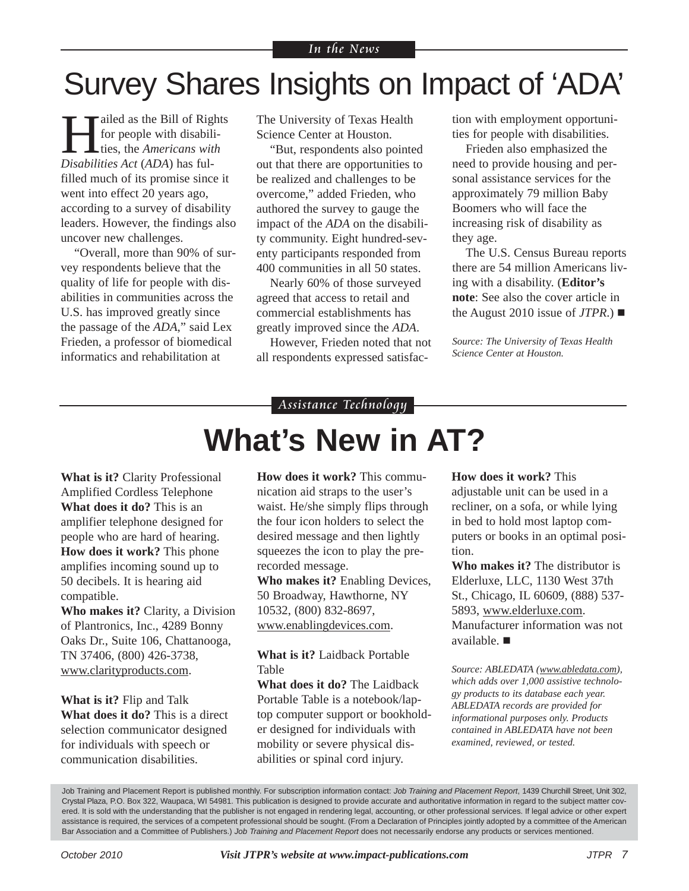### Survey Shares Insights on Impact of 'ADA'

ailed as the Bill of Rights for people with disabilities, the *Americans with Disabilities Act* (*ADA*) has fulfilled much of its promise since it went into effect 20 years ago, according to a survey of disability leaders. However, the findings also uncover new challenges.

"Overall, more than 90% of survey respondents believe that the quality of life for people with disabilities in communities across the U.S. has improved greatly since the passage of the *ADA*," said Lex Frieden, a professor of biomedical informatics and rehabilitation at

The University of Texas Health Science Center at Houston.

"But, respondents also pointed out that there are opportunities to be realized and challenges to be overcome," added Frieden, who authored the survey to gauge the impact of the *ADA* on the disability community. Eight hundred-seventy participants responded from 400 communities in all 50 states.

Nearly 60% of those surveyed agreed that access to retail and commercial establishments has greatly improved since the *ADA*.

However, Frieden noted that not all respondents expressed satisfaction with employment opportunities for people with disabilities.

Frieden also emphasized the need to provide housing and personal assistance services for the approximately 79 million Baby Boomers who will face the increasing risk of disability as they age.

The U.S. Census Bureau reports there are 54 million Americans living with a disability. (**Editor's note**: See also the cover article in the August 2010 issue of  $JTPR$ .)

*Source: The University of Texas Health Science Center at Houston.*

#### Assistance Technology

### **What's New in AT?**

**What is it?** Clarity Professional Amplified Cordless Telephone **What does it do?** This is an amplifier telephone designed for people who are hard of hearing. **How does it work?** This phone amplifies incoming sound up to 50 decibels. It is hearing aid compatible.

**Who makes it?** Clarity, a Division of Plantronics, Inc., 4289 Bonny Oaks Dr., Suite 106, Chattanooga, TN 37406, (800) 426-3738, www.clarityproducts.com.

**What is it?** Flip and Talk **What does it do?** This is a direct selection communicator designed for individuals with speech or communication disabilities.

**How does it work?** This communication aid straps to the user's waist. He/she simply flips through the four icon holders to select the desired message and then lightly squeezes the icon to play the prerecorded message.

**Who makes it?** Enabling Devices, 50 Broadway, Hawthorne, NY 10532, (800) 832-8697, www.enablingdevices.com.

**What is it?** Laidback Portable Table

**What does it do?** The Laidback Portable Table is a notebook/laptop computer support or bookholder designed for individuals with mobility or severe physical disabilities or spinal cord injury.

**How does it work?** This adjustable unit can be used in a recliner, on a sofa, or while lying in bed to hold most laptop computers or books in an optimal position.

**Who makes it?** The distributor is Elderluxe, LLC, 1130 West 37th St., Chicago, IL 60609, (888) 537- 5893, www.elderluxe.com. Manufacturer information was not available.

*Source: ABLEDATA (www.abledata.com), which adds over 1,000 assistive technology products to its database each year. ABLEDATA records are provided for informational purposes only. Products contained in ABLEDATA have not been examined, reviewed, or tested.* 

Job Training and Placement Report is published monthly. For subscription information contact: *Job Training and Placement Report*, 1439 Churchill Street, Unit 302, Crystal Plaza, P.O. Box 322, Waupaca, WI 54981. This publication is designed to provide accurate and authoritative information in regard to the subject matter covered. It is sold with the understanding that the publisher is not engaged in rendering legal, accounting, or other professional services. If legal advice or other expert assistance is required, the services of a competent professional should be sought. (From a Declaration of Principles jointly adopted by a committee of the American Bar Association and a Committee of Publishers.) *Job Training and Placement Report* does not necessarily endorse any products or services mentioned.